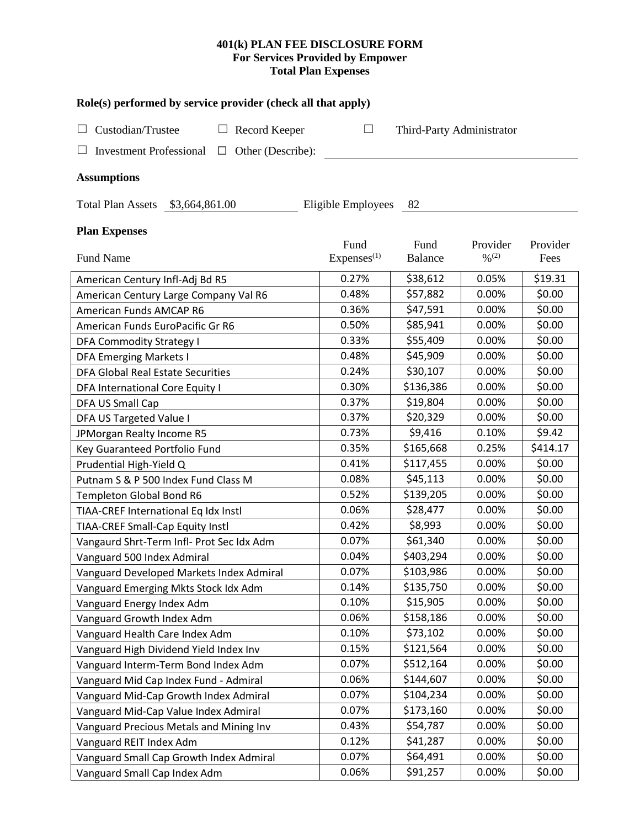# **401(k) PLAN FEE DISCLOSURE FORM For Services Provided by Empower Total Plan Expenses**

| Role(s) performed by service provider (check all that apply) |                                |                           |                                          |                  |  |  |  |
|--------------------------------------------------------------|--------------------------------|---------------------------|------------------------------------------|------------------|--|--|--|
| Custodian/Trustee<br>Record Keeper<br>ப                      | ⊔                              | Third-Party Administrator |                                          |                  |  |  |  |
|                                                              |                                |                           |                                          |                  |  |  |  |
| <b>Investment Professional</b><br>$\Box$ Other (Describe):   |                                |                           |                                          |                  |  |  |  |
| <b>Assumptions</b>                                           |                                |                           |                                          |                  |  |  |  |
| Total Plan Assets \$3,664,861.00<br>Eligible Employees<br>82 |                                |                           |                                          |                  |  |  |  |
| <b>Plan Expenses</b>                                         |                                |                           |                                          |                  |  |  |  |
| Fund Name                                                    | Fund<br>Express <sup>(1)</sup> | Fund<br><b>Balance</b>    | Provider<br>$\frac{0}{2}$ <sup>(2)</sup> | Provider<br>Fees |  |  |  |
| American Century Infl-Adj Bd R5                              | 0.27%                          | \$38,612                  | 0.05%                                    | \$19.31          |  |  |  |
| American Century Large Company Val R6                        | 0.48%                          | \$57,882                  | 0.00%                                    | \$0.00           |  |  |  |
| American Funds AMCAP R6                                      | 0.36%                          | \$47,591                  | 0.00%                                    | \$0.00           |  |  |  |
| American Funds EuroPacific Gr R6                             | 0.50%                          | \$85,941                  | 0.00%                                    | \$0.00           |  |  |  |
| DFA Commodity Strategy I                                     | 0.33%                          | \$55,409                  | 0.00%                                    | \$0.00           |  |  |  |
| <b>DFA Emerging Markets I</b>                                | 0.48%                          | \$45,909                  | 0.00%                                    | \$0.00           |  |  |  |
| <b>DFA Global Real Estate Securities</b>                     | 0.24%                          | \$30,107                  | 0.00%                                    | \$0.00           |  |  |  |
| DFA International Core Equity I                              | 0.30%                          | \$136,386                 | 0.00%                                    | \$0.00           |  |  |  |
| <b>DFA US Small Cap</b>                                      | 0.37%                          | \$19,804                  | 0.00%                                    | \$0.00           |  |  |  |
| DFA US Targeted Value I                                      | 0.37%                          | \$20,329                  | 0.00%                                    | \$0.00           |  |  |  |
| JPMorgan Realty Income R5                                    | 0.73%                          | \$9,416                   | 0.10%                                    | \$9.42           |  |  |  |
| Key Guaranteed Portfolio Fund                                | 0.35%                          | \$165,668                 | 0.25%                                    | \$414.17         |  |  |  |
| Prudential High-Yield Q                                      | 0.41%                          | \$117,455                 | 0.00%                                    | \$0.00           |  |  |  |
| Putnam S & P 500 Index Fund Class M                          | 0.08%                          | \$45,113                  | 0.00%                                    | \$0.00           |  |  |  |
| Templeton Global Bond R6                                     | 0.52%                          | \$139,205                 | 0.00%                                    | \$0.00           |  |  |  |
| TIAA-CREF International Eq Idx Instl                         | 0.06%                          | \$28,477                  | 0.00%                                    | \$0.00           |  |  |  |
| TIAA-CREF Small-Cap Equity Instl                             | 0.42%                          | \$8,993                   | 0.00%                                    | \$0.00           |  |  |  |
| Vangaurd Shrt-Term Infl- Prot Sec Idx Adm                    | 0.07%                          | \$61,340                  | 0.00%                                    | \$0.00           |  |  |  |
| Vanguard 500 Index Admiral                                   | 0.04%                          | \$403,294                 | 0.00%                                    | \$0.00           |  |  |  |
| Vanguard Developed Markets Index Admiral                     | 0.07%                          | \$103,986                 | 0.00%                                    | \$0.00           |  |  |  |
| Vanguard Emerging Mkts Stock Idx Adm                         | 0.14%                          | \$135,750                 | 0.00%                                    | \$0.00           |  |  |  |
| Vanguard Energy Index Adm                                    | 0.10%                          | \$15,905                  | 0.00%                                    | \$0.00           |  |  |  |
| Vanguard Growth Index Adm                                    | 0.06%                          | \$158,186                 | 0.00%                                    | \$0.00           |  |  |  |
| Vanguard Health Care Index Adm                               | 0.10%                          | \$73,102                  | 0.00%                                    | \$0.00           |  |  |  |
| Vanguard High Dividend Yield Index Inv                       | 0.15%                          | \$121,564                 | 0.00%                                    | \$0.00           |  |  |  |
| Vanguard Interm-Term Bond Index Adm                          | 0.07%                          | \$512,164                 | 0.00%                                    | \$0.00           |  |  |  |
| Vanguard Mid Cap Index Fund - Admiral                        | 0.06%                          | \$144,607                 | 0.00%                                    | \$0.00           |  |  |  |
| Vanguard Mid-Cap Growth Index Admiral                        | 0.07%                          | \$104,234                 | 0.00%                                    | \$0.00           |  |  |  |
| Vanguard Mid-Cap Value Index Admiral                         | 0.07%                          | \$173,160                 | 0.00%                                    | \$0.00           |  |  |  |
| Vanguard Precious Metals and Mining Inv                      | 0.43%                          | \$54,787                  | 0.00%                                    | \$0.00           |  |  |  |
| Vanguard REIT Index Adm                                      | 0.12%                          | \$41,287                  | 0.00%                                    | \$0.00           |  |  |  |
| Vanguard Small Cap Growth Index Admiral                      | 0.07%                          | \$64,491                  | 0.00%                                    | \$0.00           |  |  |  |
| Vanguard Small Cap Index Adm                                 | 0.06%                          | \$91,257                  | 0.00%                                    | \$0.00           |  |  |  |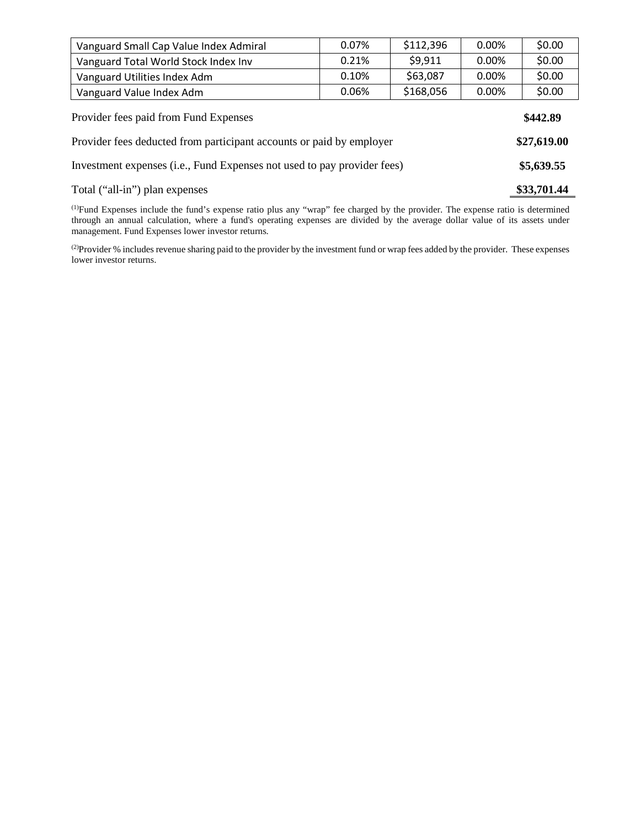| Vanguard Small Cap Value Index Admiral                               | 0.07% | \$112,396 | 0.00% | \$0.00      |  |
|----------------------------------------------------------------------|-------|-----------|-------|-------------|--|
| Vanguard Total World Stock Index Inv                                 | 0.21% | \$9,911   | 0.00% | \$0.00      |  |
| Vanguard Utilities Index Adm                                         | 0.10% | \$63,087  | 0.00% | \$0.00      |  |
| Vanguard Value Index Adm                                             | 0.06% | \$168,056 | 0.00% | \$0.00      |  |
| Provider fees paid from Fund Expenses<br>\$442.89                    |       |           |       |             |  |
|                                                                      |       |           |       |             |  |
| Provider fees deducted from participant accounts or paid by employer |       |           |       | \$27,619.00 |  |

# Total ("all-in") plan expenses **\$33,701.44**

(1) Fund Expenses include the fund's expense ratio plus any "wrap" fee charged by the provider. The expense ratio is determined through an annual calculation, where a fund's operating expenses are divided by the average dollar value of its assets under management. Fund Expenses lower investor returns.

(2) Provider % includes revenue sharing paid to the provider by the investment fund or wrap fees added by the provider. These expenses lower investor returns.